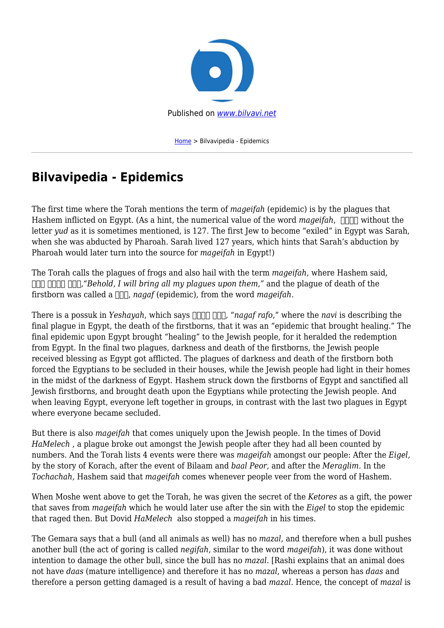

[Home](https://bilvavi.net/) > Bilvavipedia - Epidemics

## **Bilvavipedia - Epidemics**

The first time where the Torah mentions the term of *mageifah* (epidemic) is by the plagues that Hashem inflicted on Egypt. (As a hint, the numerical value of the word *mageifah*, **and** without the letter *yud* as it is sometimes mentioned, is 127. The first Jew to become "exiled" in Egypt was Sarah, when she was abducted by Pharoah. Sarah lived 127 years, which hints that Sarah's abduction by Pharoah would later turn into the source for *mageifah* in Egypt!)

The Torah calls the plagues of frogs and also hail with the term *mageifah*, where Hashem said, **נגף אנכי הנה***,"Behold, I will bring all my plagues upon them,"* and the plague of death of the firstborn was called a  $\Box$ , *nagaf* (epidemic), from the word *mageifah*.

There is a possuk in *Yeshayah*, which says **THE THE**, "*nagaf rafo*," where the *navi* is describing the final plague in Egypt, the death of the firstborns, that it was an "epidemic that brought healing." The final epidemic upon Egypt brought "healing" to the Jewish people, for it heralded the redemption from Egypt. In the final two plagues, darkness and death of the firstborns, the Jewish people received blessing as Egypt got afflicted. The plagues of darkness and death of the firstborn both forced the Egyptians to be secluded in their houses, while the Jewish people had light in their homes in the midst of the darkness of Egypt. Hashem struck down the firstborns of Egypt and sanctified all Jewish firstborns, and brought death upon the Egyptians while protecting the Jewish people. And when leaving Egypt, everyone left together in groups, in contrast with the last two plagues in Egypt where everyone became secluded.

But there is also *mageifah* that comes uniquely upon the Jewish people. In the times of Dovid *HaMelech* , a plague broke out amongst the Jewish people after they had all been counted by numbers. And the Torah lists 4 events were there was *mageifah* amongst our people: After the *Eigel,* by the story of Korach, after the event of Bilaam and *baal Peor,* and after the *Meraglim.* In the *Tochachah,* Hashem said that *mageifah* comes whenever people veer from the word of Hashem.

When Moshe went above to get the Torah, he was given the secret of the *Ketores* as a gift, the power that saves from *mageifah* which he would later use after the sin with the *Eigel* to stop the epidemic that raged then. But Dovid *HaMelech* also stopped a *mageifah* in his times.

The Gemara says that a bull (and all animals as well) has no *mazal,* and therefore when a bull pushes another bull (the act of goring is called *negifah*, similar to the word *mageifah*), it was done without intention to damage the other bull, since the bull has no *mazal*. [Rashi explains that an animal does not have *daas* (mature intelligence) and therefore it has no *mazal*, whereas a person has *daas* and therefore a person getting damaged is a result of having a bad *mazal*. Hence, the concept of *mazal* is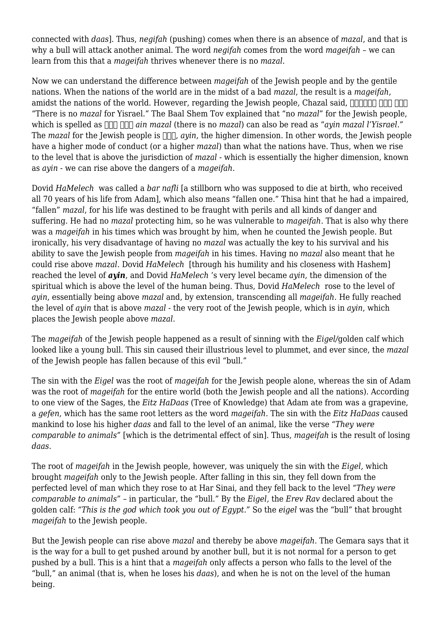connected with *daas*]. Thus, *negifah* (pushing) comes when there is an absence of *mazal*, and that is why a bull will attack another animal. The word *negifah* comes from the word *mageifah* – we can learn from this that a *mageifah* thrives whenever there is no *mazal*.

Now we can understand the difference between *mageifah* of the Jewish people and by the gentile nations. When the nations of the world are in the midst of a bad *mazal*, the result is a *mageifah*, amidst the nations of the world. However, regarding the Jewish people, Chazal said,  $\Box \Box \Box \Box \Box \Box \Box \Box \Box \Box$ "There is no *mazal* for Yisrael." The Baal Shem Tov explained that "no *mazal*" for the Jewish people, which is spelled as  $\Box$   $\Box$  *ain mazal* (there is no *mazal*) can also be read as "*ayin mazal l'Yisrael.*" The *mazal* for the Jewish people is  $\Box \Box \Box$ , *avin*, the higher dimension. In other words, the Jewish people have a higher mode of conduct (or a higher *mazal*) than what the nations have. Thus, when we rise to the level that is above the jurisdiction of *mazal* - which is essentially the higher dimension, known as *ayin* - we can rise above the dangers of a *mageifah*.

Dovid *HaMelech* was called a *bar nafli* [a stillborn who was supposed to die at birth, who received all 70 years of his life from Adam], which also means "fallen one." Thisa hint that he had a impaired, "fallen" *mazal*, for his life was destined to be fraught with perils and all kinds of danger and suffering. He had no *mazal* protecting him, so he was vulnerable to *mageifah*. That is also why there was a *mageifah* in his times which was brought by him, when he counted the Jewish people. But ironically, his very disadvantage of having no *mazal* was actually the key to his survival and his ability to save the Jewish people from *mageifah* in his times. Having no *mazal* also meant that he could rise above *mazal*. Dovid *HaMelech* [through his humility and his closeness with Hashem] reached the level of *ayin*, and Dovid *HaMelech* 's very level became *ayin*, the dimension of the spiritual which is above the level of the human being. Thus, Dovid *HaMelech* rose to the level of *ayin*, essentially being above *mazal* and, by extension, transcending all *mageifah*. He fully reached the level of *ayin* that is above *mazal* - the very root of the Jewish people, which is in *ayin*, which places the Jewish people above *mazal*.

The *mageifah* of the Jewish people happened as a result of sinning with the *Eigel/*golden calf which looked like a young bull. This sin caused their illustrious level to plummet, and ever since, the *mazal* of the Jewish people has fallen because of this evil "bull."

The sin with the *Eigel* was the root of *mageifah* for the Jewish people alone, whereas the sin of Adam was the root of *mageifah* for the entire world (both the Jewish people and all the nations). According to one view of the Sages, the *Eitz HaDaas* (Tree of Knowledge) that Adam ate from was a grapevine, a *gefen*, which has the same root letters as the word *mageifah*. The sin with the *Eitz HaDaas* caused mankind to lose his higher *daas* and fall to the level of an animal, like the verse *"They were comparable to animals"* [which is the detrimental effect of sin]. Thus, *mageifah* is the result of losing *daas*.

The root of *mageifah* in the Jewish people, however, was uniquely the sin with the *Eigel,* which brought *mageifah* only to the Jewish people. After falling in this sin, they fell down from the perfected level of man which they rose to at Har Sinai, and they fell back to the level *"They were comparable to animals"* – in particular, the "bull." By the *Eigel,* the *Erev Rav* declared about the golden calf: *"This is the god which took you out of Egypt."* So the *eigel* was the "bull" that brought *mageifah* to the Jewish people.

But the Jewish people can rise above *mazal* and thereby be above *mageifah*. The Gemara says that it is the way for a bull to get pushed around by another bull, but it is not normal for a person to get pushed by a bull. This is a hint that a *mageifah* only affects a person who falls to the level of the "bull," an animal (that is, when he loses his *daas*), and when he is not on the level of the human being.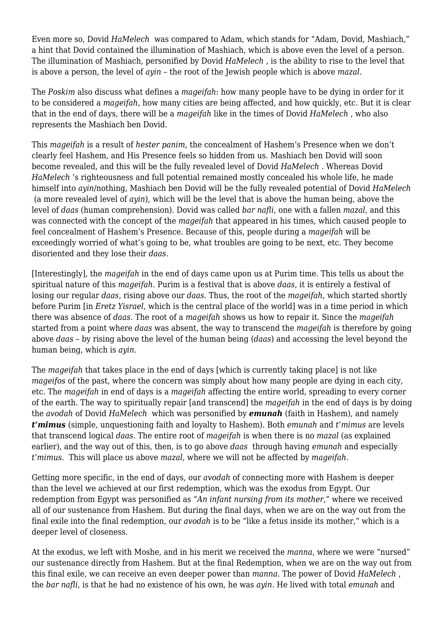Even more so, Dovid *HaMelech* was compared to Adam, which stands for "Adam, Dovid, Mashiach," a hint that Dovid contained the illumination of Mashiach, which is above even the level of a person. The illumination of Mashiach, personified by Dovid *HaMelech* , is the ability to rise to the level that is above a person, the level of *ayin* – the root of the Jewish people which is above *mazal*.

The *Poskim* also discuss what defines a *mageifah*: how many people have to be dying in order for it to be considered a *mageifah*, how many cities are being affected, and how quickly, etc. But it is clear that in the end of days, there will be a *mageifah* like in the times of Dovid *HaMelech* , who also represents the Mashiach ben Dovid.

This *mageifah* is a result of *hester panim*, the concealment of Hashem's Presence when we don't clearly feel Hashem, and His Presence feels so hidden from us. Mashiach ben Dovid will soon become revealed, and this will be the fully revealed level of Dovid *HaMelech* . Whereas Dovid *HaMelech* 's righteousness and full potential remained mostly concealed his whole life, he made himself into *ayin*/nothing, Mashiach ben Dovid will be the fully revealed potential of Dovid *HaMelech* (a more revealed level of *ayin*), which will be the level that is above the human being, above the level of *daas* (human comprehension). Dovid was called *bar nafli*, one with a fallen *mazal*, and this was connected with the concept of the *mageifah* that appeared in his times, which caused people to feel concealment of Hashem's Presence. Because of this, people during a *mageifah* will be exceedingly worried of what's going to be, what troubles are going to be next, etc. They become disoriented and they lose their *daas*.

[Interestingly], the *mageifah* in the end of days came upon us at Purim time. This tells us about the spiritual nature of this *mageifah*. Purim is a festival that is above *daas*, it is entirely a festival of losing our regular *daas,* rising above our *daas*. Thus, the root of the *mageifah*, which started shortly before Purim [in *Eretz Yisrael*, which is the central place of the world] was in a time period in which there was absence of *daas*. The root of a *mageifah* shows us how to repair it. Since the *mageifah* started from a point where *daas* was absent, the way to transcend the *mageifah* is therefore by going above *daas –* by rising above the level of the human being (*daas*) and accessing the level beyond the human being, which is *ayin*.

The *mageifah* that takes place in the end of days [which is currently taking place] is not like *mageifos* of the past, where the concern was simply about how many people are dying in each city, etc. The *mageifah* in end of days is a *mageifah* affecting the entire world, spreading to every corner of the earth. The way to spiritually repair [and transcend] the *mageifah* in the end of days is by doing the *avodah* of Dovid *HaMelech* which was personified by *emunah* (faith in Hashem), and namely *t'mimus* (simple, unquestioning faith and loyalty to Hashem). Both *emunah* and *t'mimus* are levels that transcend logical *daas*. The entire root of *mageifah* is when there is no *mazal* (as explained earlier), and the way out of this, then, is to go above *daas* through having *emunah* and especially *t'mimus*. This will place us above *mazal*, where we will not be affected by *mageifah*.

Getting more specific, in the end of days, our *avodah* of connecting more with Hashem is deeper than the level we achieved at our first redemption, which was the exodus from Egypt. Our redemption from Egypt was personified as *"An infant nursing from its mother,"* where we received all of our sustenance from Hashem. But during the final days, when we are on the way out from the final exile into the final redemption, our *avodah* is to be "like a fetus inside its mother," which is a deeper level of closeness.

At the exodus, we left with Moshe, and in his merit we received the *manna*, where we were "nursed" our sustenance directly from Hashem. But at the final Redemption, when we are on the way out from this final exile, we can receive an even deeper power than *manna*. The power of Dovid *HaMelech* , the *bar nafli,* is that he had no existence of his own, he was *ayin.* He lived with total *emunah* and